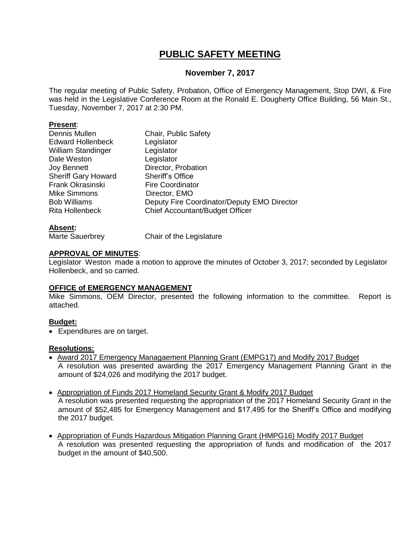## **PUBLIC SAFETY MEETING**

## **November 7, 2017**

The regular meeting of Public Safety, Probation, Office of Emergency Management, Stop DWI, & Fire was held in the Legislative Conference Room at the Ronald E. Dougherty Office Building, 56 Main St., Tuesday, November 7, 2017 at 2:30 PM.

### **Present**:

| Dennis Mullen              | Chair, Public Safety                        |
|----------------------------|---------------------------------------------|
| <b>Edward Hollenbeck</b>   | Legislator                                  |
| <b>William Standinger</b>  | Legislator                                  |
| Dale Weston                | Legislator                                  |
| <b>Joy Bennett</b>         | Director, Probation                         |
| <b>Sheriff Gary Howard</b> | <b>Sheriff's Office</b>                     |
| Frank Okrasinski           | <b>Fire Coordinator</b>                     |
| <b>Mike Simmons</b>        | Director, EMO                               |
| <b>Bob Williams</b>        | Deputy Fire Coordinator/Deputy EMO Director |
| <b>Rita Hollenbeck</b>     | Chief Accountant/Budget Officer             |
|                            |                                             |

## **Absent:**

Marte Sauerbrey Chair of the Legislature

## **APPROVAL OF MINUTES**:

Legislator Weston made a motion to approve the minutes of October 3, 2017; seconded by Legislator Hollenbeck, and so carried.

## **OFFICE of EMERGENCY MANAGEMENT**

Mike Simmons, OEM Director, presented the following information to the committee. Report is attached.

## **Budget:**

Expenditures are on target.

## **Resolutions:**

- Award 2017 Emergency Managaement Planning Grant (EMPG17) and Modify 2017 Budget A resolution was presented awarding the 2017 Emergency Management Planning Grant in the amount of \$24,026 and modifying the 2017 budget.
- Appropriation of Funds 2017 Homeland Security Grant & Modify 2017 Budget A resolution was presented requesting the appropriation of the 2017 Homeland Security Grant in the amount of \$52,485 for Emergency Management and \$17,495 for the Sheriff's Office and modifying the 2017 budget.
- Appropriation of Funds Hazardous Mitigation Planning Grant (HMPG16) Modify 2017 Budget A resolution was presented requesting the appropriation of funds and modification of the 2017 budget in the amount of \$40,500.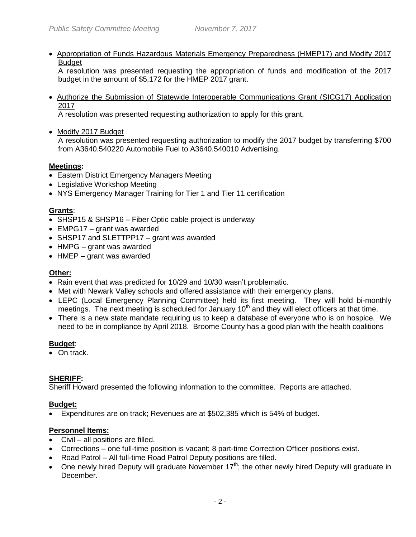Appropriation of Funds Hazardous Materials Emergency Preparedness (HMEP17) and Modify 2017 **Budget** 

A resolution was presented requesting the appropriation of funds and modification of the 2017 budget in the amount of \$5,172 for the HMEP 2017 grant.

 Authorize the Submission of Statewide Interoperable Communications Grant (SICG17) Application 2017

A resolution was presented requesting authorization to apply for this grant.

• Modify 2017 Budget

A resolution was presented requesting authorization to modify the 2017 budget by transferring \$700 from A3640.540220 Automobile Fuel to A3640.540010 Advertising.

## **Meetings:**

- Eastern District Emergency Managers Meeting
- Legislative Workshop Meeting
- NYS Emergency Manager Training for Tier 1 and Tier 11 certification

## **Grants**:

- SHSP15 & SHSP16 Fiber Optic cable project is underway
- EMPG17 grant was awarded
- SHSP17 and SLETTPP17 grant was awarded
- HMPG grant was awarded
- HMEP grant was awarded

## **Other:**

- Rain event that was predicted for 10/29 and 10/30 wasn't problematic.
- Met with Newark Valley schools and offered assistance with their emergency plans.
- LEPC (Local Emergency Planning Committee) held its first meeting. They will hold bi-monthly meetings. The next meeting is scheduled for January  $10<sup>th</sup>$  and they will elect officers at that time.
- There is a new state mandate requiring us to keep a database of everyone who is on hospice. We need to be in compliance by April 2018. Broome County has a good plan with the health coalitions

## **Budget**:

• On track.

## **SHERIFF:**

Sheriff Howard presented the following information to the committee. Reports are attached.

## **Budget:**

Expenditures are on track; Revenues are at \$502,385 which is 54% of budget.

## **Personnel Items:**

- Civil all positions are filled.
- Corrections one full-time position is vacant; 8 part-time Correction Officer positions exist.
- Road Patrol All full-time Road Patrol Deputy positions are filled.
- $\bullet$  One newly hired Deputy will graduate November 17<sup>th</sup>; the other newly hired Deputy will graduate in December.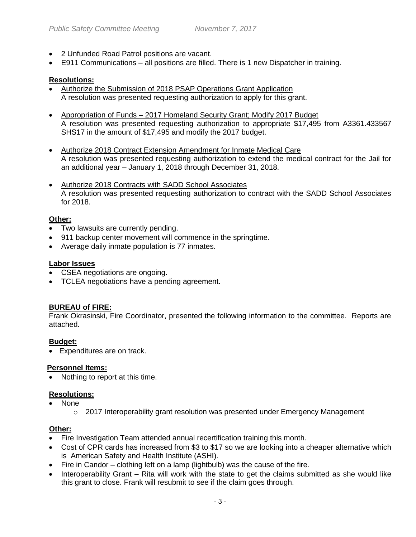- 2 Unfunded Road Patrol positions are vacant.
- E911 Communications all positions are filled. There is 1 new Dispatcher in training.

## **Resolutions:**

- Authorize the Submission of 2018 PSAP Operations Grant Application A resolution was presented requesting authorization to apply for this grant.
- Appropriation of Funds 2017 Homeland Security Grant; Modify 2017 Budget A resolution was presented requesting authorization to appropriate \$17,495 from A3361.433567 SHS17 in the amount of \$17,495 and modify the 2017 budget.
- Authorize 2018 Contract Extension Amendment for Inmate Medical Care A resolution was presented requesting authorization to extend the medical contract for the Jail for an additional year – January 1, 2018 through December 31, 2018.
- Authorize 2018 Contracts with SADD School Associates A resolution was presented requesting authorization to contract with the SADD School Associates for 2018.

## **Other:**

- Two lawsuits are currently pending.
- 911 backup center movement will commence in the springtime.
- Average daily inmate population is 77 inmates.

## **Labor Issues**

- CSEA negotiations are ongoing.
- TCLEA negotiations have a pending agreement.

## **BUREAU of FIRE:**

Frank Okrasinski, Fire Coordinator, presented the following information to the committee. Reports are attached.

## **Budget:**

Expenditures are on track.

## **Personnel Items:**

Nothing to report at this time.

## **Resolutions:**

- None
	- $\circ$  2017 Interoperability grant resolution was presented under Emergency Management

## **Other:**

- Fire Investigation Team attended annual recertification training this month.
- Cost of CPR cards has increased from \$3 to \$17 so we are looking into a cheaper alternative which is American Safety and Health Institute (ASHI).
- Fire in Candor clothing left on a lamp (lightbulb) was the cause of the fire.
- Interoperability Grant Rita will work with the state to get the claims submitted as she would like this grant to close. Frank will resubmit to see if the claim goes through.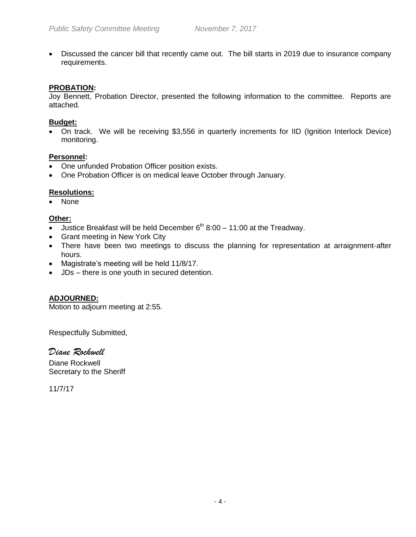Discussed the cancer bill that recently came out. The bill starts in 2019 due to insurance company requirements.

### **PROBATION:**

Joy Bennett, Probation Director, presented the following information to the committee. Reports are attached.

#### **Budget:**

 On track. We will be receiving \$3,556 in quarterly increments for IID (Ignition Interlock Device) monitoring.

### **Personnel:**

- One unfunded Probation Officer position exists.
- One Probation Officer is on medical leave October through January.

### **Resolutions:**

• None

### **Other:**

- Justice Breakfast will be held December  $6<sup>th</sup> 8:00 11:00$  at the Treadway.
- Grant meeting in New York City
- There have been two meetings to discuss the planning for representation at arraignment-after hours.
- Magistrate's meeting will be held 11/8/17.
- JDs there is one youth in secured detention.

## **ADJOURNED:**

Motion to adjourn meeting at 2:55.

Respectfully Submitted,

## *Diane Rockwell*

Diane Rockwell Secretary to the Sheriff

11/7/17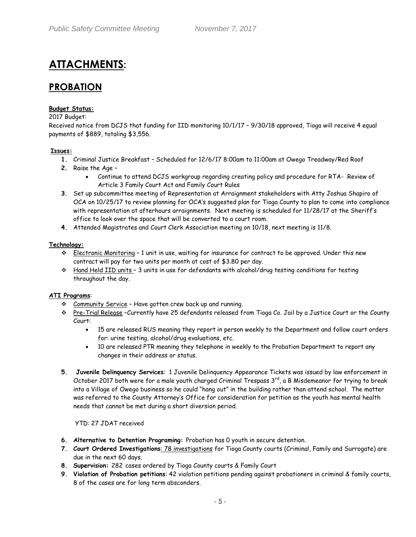# **ATTACHMENTS:**

## **PROBATION**

#### **Budget Status:**

2017 Budget:

Received notice from DCJS that funding for IID monitoring 10/1/17 – 9/30/18 approved, Tioga will receive 4 equal payments of \$889, totaling \$3,556.

#### **Issues:**

- **1.** Criminal Justice Breakfast Scheduled for 12/6/17 8:00am to 11:00am at Owego Treadway/Red Roof
- **2.** Raise the Age
	- Continue to attend DCJS workgroup regarding creating policy and procedure for RTA- Review of Article 3 Family Court Act and Family Court Rules
- **3.** Set up subcommittee meeting of Representation at Arraignment stakeholders with Atty Joshua Shapiro of OCA on 10/25/17 to review planning for OCA's suggested plan for Tioga County to plan to come into compliance with representation at afterhours arraignments. Next meeting is scheduled for 11/28/17 at the Sheriff's office to look over the space that will be converted to a court room.
- **4.** Attended Magistrates and Court Clerk Association meeting on 10/18, next meeting is 11/8.

#### **Technology:**

- Electronic Monitoring 1 unit in use, waiting for insurance for contract to be approved. Under this new contract will pay for two units per month at cost of \$3.80 per day.
- Hand Held IID units 3 units in use for defendants with alcohol/drug testing conditions for testing throughout the day.

#### **ATI Programs**:

- Community Service Have gotten crew back up and running.
- \* Pre-Trial Release −Currently have 25 defendants released from Tioga Co. Jail by a Justice Court or the County Court:
	- 15 are released RUS meaning they report in person weekly to the Department and follow court orders for: urine testing, alcohol/drug evaluations, etc.
	- 10 are released PTR meaning they telephone in weekly to the Probation Department to report any changes in their address or status.
- **5. Juvenile Delinquency Services**: 1 Juvenile Delinquency Appearance Tickets was issued by law enforcement in October 2017 both were for a male youth charged Criminal Trespass 3rd, a B Misdemeanor for trying to break into a Village of Owego business so he could "hang out" in the building rather than attend school. The matter was referred to the County Attorney's Office for consideration for petition as the youth has mental health needs that cannot be met during a short diversion period.

#### YTD: 27 JDAT received

- **6. Alternative to Detention Programing:** Probation has 0 youth in secure detention.
- **7. Court Ordered Investigations**: 78 investigations for Tioga County courts (Criminal, Family and Surrogate) are due in the next 60 days.
- **8. Supervision:** 282 cases ordered by Tioga County courts & Family Court
- **9. Violation of Probation petitions**: 42 violation petitions pending against probationers in criminal & family courts, 8 of the cases are for long term absconders.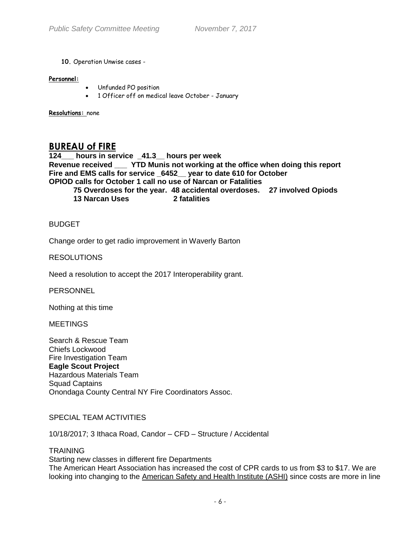#### **10.** Operation Unwise cases -

#### **Personnel:**

- Unfunded PO position
- 1 Officer off on medical leave October January

**Resolutions:** none

## **BUREAU of FIRE**

**124\_\_\_ hours in service \_41.3\_\_ hours per week Revenue received \_\_\_ YTD Munis not working at the office when doing this report Fire and EMS calls for service \_6452\_\_ year to date 610 for October OPIOD calls for October 1 call no use of Narcan or Fatalities** 

- **75 Overdoses for the year. 48 accidental overdoses. 27 involved Opiods**
- **13 Narcan Uses 2 fatalities**

## BUDGET

Change order to get radio improvement in Waverly Barton

### RESOLUTIONS

Need a resolution to accept the 2017 Interoperability grant.

**PERSONNEL** 

Nothing at this time

**MEETINGS** 

Search & Rescue Team Chiefs Lockwood Fire Investigation Team **Eagle Scout Project**  Hazardous Materials Team Squad Captains Onondaga County Central NY Fire Coordinators Assoc.

## SPECIAL TEAM ACTIVITIES

10/18/2017; 3 Ithaca Road, Candor – CFD – Structure / Accidental

#### **TRAINING**

Starting new classes in different fire Departments The American Heart Association has increased the cost of CPR cards to us from \$3 to \$17. We are looking into changing to the [American Safety and Health Institute \(ASHI\)](https://emergencycare.hsi.com/cpr-and-first-aid-courses?course=ashi&__hstc=94143490.4cf2a69c355432dd14ff32183e467a53.1426008336854.1504116638538.1509383671265.25&__hssc=94143490.2.1509383671265&__hsfp=2818390242) since costs are more in line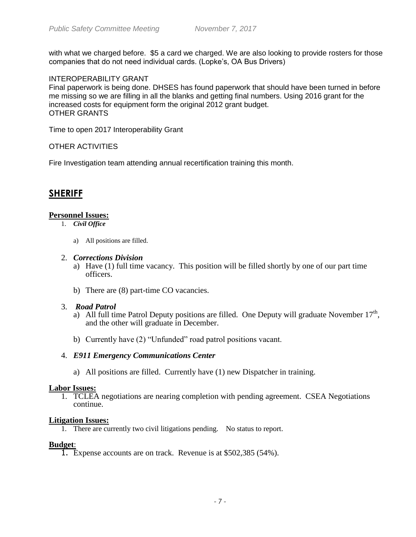with what we charged before. \$5 a card we charged. We are also looking to provide rosters for those companies that do not need individual cards. (Lopke's, OA Bus Drivers)

## INTEROPERABILITY GRANT

Final paperwork is being done. DHSES has found paperwork that should have been turned in before me missing so we are filling in all the blanks and getting final numbers. Using 2016 grant for the increased costs for equipment form the original 2012 grant budget. OTHER GRANTS

Time to open 2017 Interoperability Grant

## OTHER ACTIVITIES

Fire Investigation team attending annual recertification training this month.

## **SHERIFF**

### **Personnel Issues:**

- 1. *Civil Office*
	- a) All positions are filled.

#### 2. *Corrections Division*

- a) Have (1) full time vacancy. This position will be filled shortly by one of our part time officers.
- b) There are (8) part-time CO vacancies.

#### 3. *Road Patrol*

- a) All full time Patrol Deputy positions are filled. One Deputy will graduate November  $17<sup>th</sup>$ , and the other will graduate in December.
- b) Currently have (2) "Unfunded" road patrol positions vacant.

#### 4. *E911 Emergency Communications Center*

a) All positions are filled. Currently have (1) new Dispatcher in training.

#### **Labor Issues:**

1. TCLEA negotiations are nearing completion with pending agreement. CSEA Negotiations continue.

#### **Litigation Issues:**

1. There are currently two civil litigations pending. No status to report.

#### **Budget**:

1. Expense accounts are on track. Revenue is at \$502,385 (54%).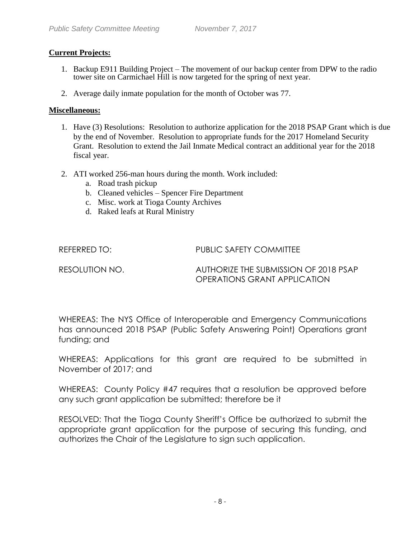## **Current Projects:**

- 1. Backup E911 Building Project The movement of our backup center from DPW to the radio tower site on Carmichael Hill is now targeted for the spring of next year.
- 2. Average daily inmate population for the month of October was 77.

## **Miscellaneous:**

- 1. Have (3) Resolutions: Resolution to authorize application for the 2018 PSAP Grant which is due by the end of November. Resolution to appropriate funds for the 2017 Homeland Security Grant. Resolution to extend the Jail Inmate Medical contract an additional year for the 2018 fiscal year.
- 2. ATI worked 256-man hours during the month. Work included:
	- a. Road trash pickup
	- b. Cleaned vehicles Spencer Fire Department
	- c. Misc. work at Tioga County Archives
	- d. Raked leafs at Rural Ministry

REFERRED TO: PUBLIC SAFETY COMMITTEE

RESOLUTION NO. AUTHORIZE THE SUBMISSION OF 2018 PSAP OPERATIONS GRANT APPLICATION

WHEREAS: The NYS Office of Interoperable and Emergency Communications has announced 2018 PSAP (Public Safety Answering Point) Operations grant funding; and

WHEREAS: Applications for this grant are required to be submitted in November of 2017; and

WHEREAS: County Policy #47 requires that a resolution be approved before any such grant application be submitted; therefore be it

RESOLVED: That the Tioga County Sheriff's Office be authorized to submit the appropriate grant application for the purpose of securing this funding, and authorizes the Chair of the Legislature to sign such application.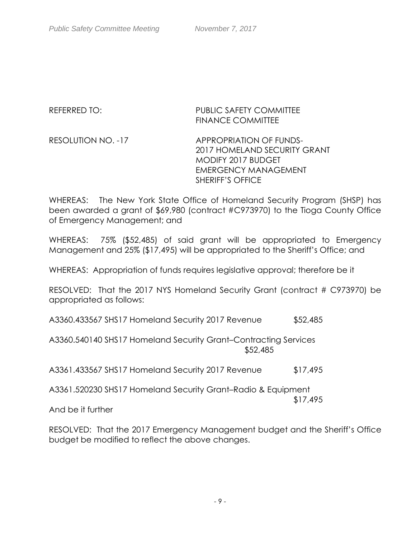## REFERRED TO: PUBLIC SAFETY COMMITTEE FINANCE COMMITTEE

RESOLUTION NO. -17 APPROPRIATION OF FUNDS-2017 HOMELAND SECURITY GRANT MODIFY 2017 BUDGET EMERGENCY MANAGEMENT SHERIFF'S OFFICE

WHEREAS: The New York State Office of Homeland Security Program (SHSP) has been awarded a grant of \$69,980 (contract #C973970) to the Tioga County Office of Emergency Management; and

WHEREAS: 75% (\$52,485) of said grant will be appropriated to Emergency Management and 25% (\$17,495) will be appropriated to the Sheriff's Office; and

WHEREAS: Appropriation of funds requires legislative approval; therefore be it

RESOLVED: That the 2017 NYS Homeland Security Grant (contract # C973970) be appropriated as follows:

A3360.433567 SHS17 Homeland Security 2017 Revenue \$52,485

A3360.540140 SHS17 Homeland Security Grant–Contracting Services \$52,485

A3361.433567 SHS17 Homeland Security 2017 Revenue \$17,495

A3361.520230 SHS17 Homeland Security Grant–Radio & Equipment \$17,495

And be it further

RESOLVED: That the 2017 Emergency Management budget and the Sheriff's Office budget be modified to reflect the above changes.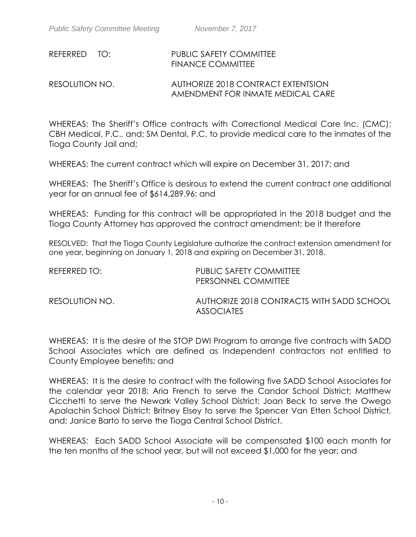# REFERRED TO: PUBLIC SAFETY COMMITTEE FINANCE COMMITTEE

## RESOLUTION NO. AUTHORIZE 2018 CONTRACT EXTENTSION AMENDMENT FOR INMATE MEDICAL CARE

WHEREAS: The Sheriff's Office contracts with Correctional Medical Care Inc. (CMC); CBH Medical, P.C., and; SM Dental, P.C. to provide medical care to the inmates of the Tioga County Jail and;

WHEREAS: The current contract which will expire on December 31, 2017; and

WHEREAS: The Sheriff's Office is desirous to extend the current contract one additional year for an annual fee of \$614,289.96; and

WHEREAS: Funding for this contract will be appropriated in the 2018 budget and the Tioga County Attorney has approved the contract amendment; be it therefore

RESOLVED: That the Tioga County Legislature authorize the contract extension amendment for one year, beginning on January 1, 2018 and expiring on December 31, 2018.

| REFERRED TO:   | PUBLIC SAFETY COMMITTEE<br>PERSONNEL COMMITTEE                 |
|----------------|----------------------------------------------------------------|
| RESOLUTION NO. | AUTHORIZE 2018 CONTRACTS WITH SADD SCHOOL<br><b>ASSOCIATES</b> |

WHEREAS: It is the desire of the STOP DWI Program to arrange five contracts with SADD School Associates which are defined as Independent contractors not entitled to County Employee benefits; and

WHEREAS: It is the desire to contract with the following five SADD School Associates for the calendar year 2018; Aria French to serve the Candor School District; Matthew Cicchetti to serve the Newark Valley School District; Joan Beck to serve the Owego Apalachin School District; Britney Elsey to serve the Spencer Van Etten School District, and; Janice Barto to serve the Tioga Central School District.

WHEREAS: Each SADD School Associate will be compensated \$100 each month for the ten months of the school year, but will not exceed \$1,000 for the year; and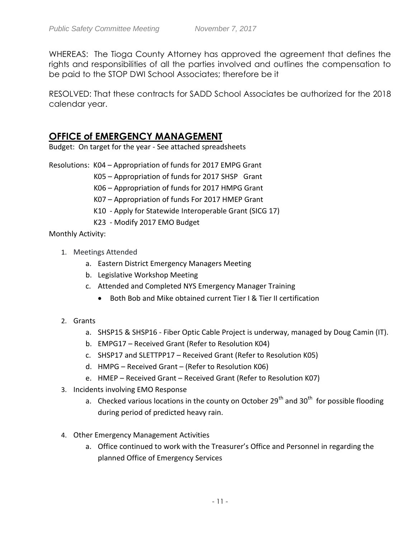WHEREAS: The Tioga County Attorney has approved the agreement that defines the rights and responsibilities of all the parties involved and outlines the compensation to be paid to the STOP DWI School Associates; therefore be it

RESOLVED: That these contracts for SADD School Associates be authorized for the 2018 calendar year.

## **OFFICE of EMERGENCY MANAGEMENT**

Budget: On target for the year - See attached spreadsheets

Resolutions: K04 – Appropriation of funds for 2017 EMPG Grant

K05 – Appropriation of funds for 2017 SHSP Grant

K06 – Appropriation of funds for 2017 HMPG Grant

K07 – Appropriation of funds For 2017 HMEP Grant

K10 - Apply for Statewide Interoperable Grant (SICG 17)

K23 - Modify 2017 EMO Budget

Monthly Activity:

- 1. Meetings Attended
	- a. Eastern District Emergency Managers Meeting
	- b. Legislative Workshop Meeting
	- c. Attended and Completed NYS Emergency Manager Training
		- Both Bob and Mike obtained current Tier I & Tier II certification
- 2. Grants
	- a. SHSP15 & SHSP16 Fiber Optic Cable Project is underway, managed by Doug Camin (IT).
	- b. EMPG17 Received Grant (Refer to Resolution K04)
	- c. SHSP17 and SLETTPP17 Received Grant (Refer to Resolution K05)
	- d. HMPG Received Grant (Refer to Resolution K06)
	- e. HMEP Received Grant Received Grant (Refer to Resolution K07)
- 3. Incidents involving EMO Response
	- a. Checked various locations in the county on October 29<sup>th</sup> and 30<sup>th</sup> for possible flooding during period of predicted heavy rain.
- 4. Other Emergency Management Activities
	- a. Office continued to work with the Treasurer's Office and Personnel in regarding the planned Office of Emergency Services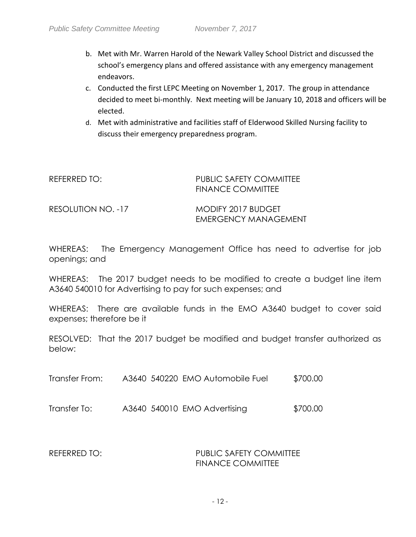- b. Met with Mr. Warren Harold of the Newark Valley School District and discussed the school's emergency plans and offered assistance with any emergency management endeavors.
- c. Conducted the first LEPC Meeting on November 1, 2017. The group in attendance decided to meet bi-monthly. Next meeting will be January 10, 2018 and officers will be elected.
- d. Met with administrative and facilities staff of Elderwood Skilled Nursing facility to discuss their emergency preparedness program.

| REFERRED TO:       | PUBLIC SAFETY COMMITTEE<br><b>FINANCE COMMITTEE</b> |  |
|--------------------|-----------------------------------------------------|--|
| RESOLUTION NO. -17 | MODIFY 2017 BUDGET<br>EMERGENCY MANAGEMENT          |  |

WHEREAS: The Emergency Management Office has need to advertise for job openings; and

WHEREAS: The 2017 budget needs to be modified to create a budget line item A3640 540010 for Advertising to pay for such expenses; and

WHEREAS: There are available funds in the EMO A3640 budget to cover said expenses; therefore be it

RESOLVED: That the 2017 budget be modified and budget transfer authorized as below:

Transfer From: A3640 540220 EMO Automobile Fuel \$700.00

Transfer To: A3640 540010 EMO Advertising \$700.00

REFERRED TO: PUBLIC SAFETY COMMITTEE FINANCE COMMITTEE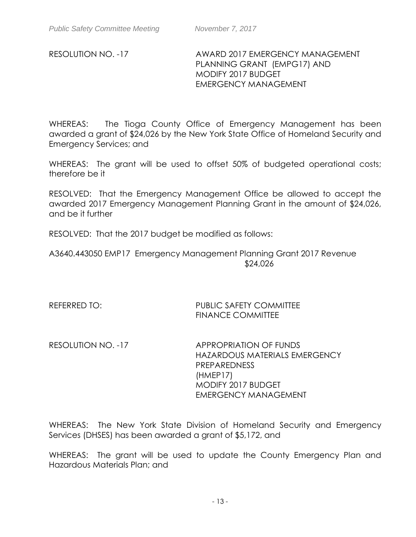## RESOLUTION NO. -17 AWARD 2017 EMERGENCY MANAGEMENT PLANNING GRANT (EMPG17) AND MODIFY 2017 BUDGET EMERGENCY MANAGEMENT

WHEREAS: The Tioga County Office of Emergency Management has been awarded a grant of \$24,026 by the New York State Office of Homeland Security and Emergency Services; and

WHEREAS: The grant will be used to offset 50% of budgeted operational costs; therefore be it

RESOLVED: That the Emergency Management Office be allowed to accept the awarded 2017 Emergency Management Planning Grant in the amount of \$24,026, and be it further

RESOLVED: That the 2017 budget be modified as follows:

A3640.443050 EMP17 Emergency Management Planning Grant 2017 Revenue \$24,026

REFERRED TO: PUBLIC SAFETY COMMITTEE FINANCE COMMITTEE

RESOLUTION NO. -17 APPROPRIATION OF FUNDS HAZARDOUS MATERIALS EMERGENCY PREPAREDNESS (HMEP17) MODIFY 2017 BUDGET EMERGENCY MANAGEMENT

WHEREAS: The New York State Division of Homeland Security and Emergency Services (DHSES) has been awarded a grant of \$5,172, and

WHEREAS: The grant will be used to update the County Emergency Plan and Hazardous Materials Plan; and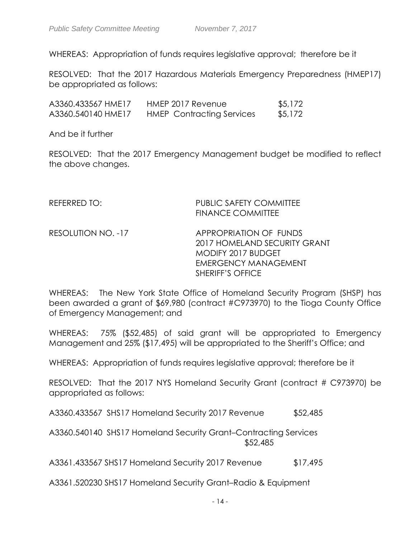WHEREAS: Appropriation of funds requires legislative approval; therefore be it

RESOLVED: That the 2017 Hazardous Materials Emergency Preparedness (HMEP17) be appropriated as follows:

| A3360.433567 HME17 | HMEP 2017 Revenue                | \$5,172 |
|--------------------|----------------------------------|---------|
| A3360.540140 HME17 | <b>HMEP</b> Contracting Services | \$5,172 |

And be it further

RESOLVED: That the 2017 Emergency Management budget be modified to reflect the above changes.

- REFERRED TO: PUBLIC SAFETY COMMITTEE FINANCE COMMITTEE
- RESOLUTION NO. -17 APPROPRIATION OF FUNDS 2017 HOMELAND SECURITY GRANT MODIFY 2017 BUDGET EMERGENCY MANAGEMENT SHERIFF'S OFFICE

WHEREAS: The New York State Office of Homeland Security Program (SHSP) has been awarded a grant of \$69,980 (contract #C973970) to the Tioga County Office of Emergency Management; and

WHEREAS: 75% (\$52,485) of said grant will be appropriated to Emergency Management and 25% (\$17,495) will be appropriated to the Sheriff's Office; and

WHEREAS: Appropriation of funds requires legislative approval; therefore be it

RESOLVED: That the 2017 NYS Homeland Security Grant (contract # C973970) be appropriated as follows:

A3360.433567 SHS17 Homeland Security 2017 Revenue \$52,485

A3360.540140 SHS17 Homeland Security Grant–Contracting Services \$52,485

A3361.433567 SHS17 Homeland Security 2017 Revenue \$17,495

A3361.520230 SHS17 Homeland Security Grant–Radio & Equipment